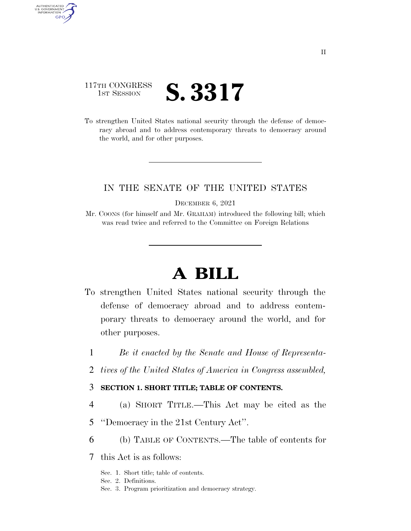## 117TH CONGRESS **1st Session S. 3317**

AUTHENTICATED U.S. GOVERNMENT GPO

> To strengthen United States national security through the defense of democracy abroad and to address contemporary threats to democracy around the world, and for other purposes.

## IN THE SENATE OF THE UNITED STATES

DECEMBER 6, 2021

Mr. COONS (for himself and Mr. GRAHAM) introduced the following bill; which was read twice and referred to the Committee on Foreign Relations

# **A BILL**

- To strengthen United States national security through the defense of democracy abroad and to address contemporary threats to democracy around the world, and for other purposes.
	- 1 *Be it enacted by the Senate and House of Representa-*
	- 2 *tives of the United States of America in Congress assembled,*

#### 3 **SECTION 1. SHORT TITLE; TABLE OF CONTENTS.**

- 4 (a) SHORT TITLE.—This Act may be cited as the
- 5 ''Democracy in the 21st Century Act''.
- 6 (b) TABLE OF CONTENTS.—The table of contents for
- 7 this Act is as follows:
	- Sec. 1. Short title; table of contents.
	- Sec. 2. Definitions.
	- Sec. 3. Program prioritization and democracy strategy.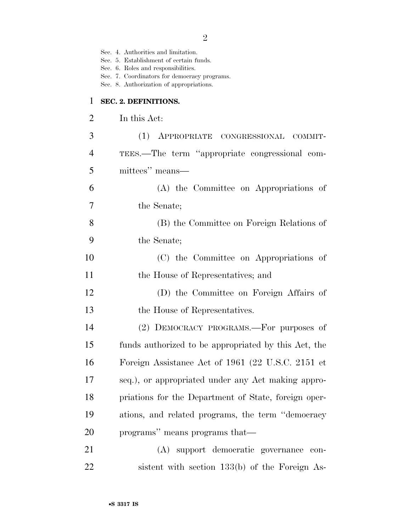|                | Sec. 4. Authorities and limitation.<br>Sec. 5. Establishment of certain funds.<br>Sec. 6. Roles and responsibilities.<br>Sec. 7. Coordinators for democracy programs.<br>Sec. 8. Authorization of appropriations. |
|----------------|-------------------------------------------------------------------------------------------------------------------------------------------------------------------------------------------------------------------|
| $\mathbf{1}$   | SEC. 2. DEFINITIONS.                                                                                                                                                                                              |
| $\overline{2}$ | In this Act:                                                                                                                                                                                                      |
| 3              | (1) APPROPRIATE CONGRESSIONAL COMMIT-                                                                                                                                                                             |
| 4              | TEES.—The term "appropriate congressional com-                                                                                                                                                                    |
| 5              | mittees" means-                                                                                                                                                                                                   |
| 6              | (A) the Committee on Appropriations of                                                                                                                                                                            |
| 7              | the Senate;                                                                                                                                                                                                       |
| 8              | (B) the Committee on Foreign Relations of                                                                                                                                                                         |
| 9              | the Senate;                                                                                                                                                                                                       |
| 10             | (C) the Committee on Appropriations of                                                                                                                                                                            |
| 11             | the House of Representatives; and                                                                                                                                                                                 |
| 12             | (D) the Committee on Foreign Affairs of                                                                                                                                                                           |
| 13             | the House of Representatives.                                                                                                                                                                                     |
| 14             | (2) DEMOCRACY PROGRAMS.—For purposes of                                                                                                                                                                           |
| 15             | funds authorized to be appropriated by this Act, the                                                                                                                                                              |
| 16             | Foreign Assistance Act of 1961 (22 U.S.C. 2151 et                                                                                                                                                                 |
| 17             | seq.), or appropriated under any Act making appro-                                                                                                                                                                |
| 18             | priations for the Department of State, foreign oper-                                                                                                                                                              |
| 19             | ations, and related programs, the term "democracy"                                                                                                                                                                |
| 20             | programs" means programs that—                                                                                                                                                                                    |
| 21             | (A) support democratic governance con-                                                                                                                                                                            |
| 22             | sistent with section 133(b) of the Foreign As-                                                                                                                                                                    |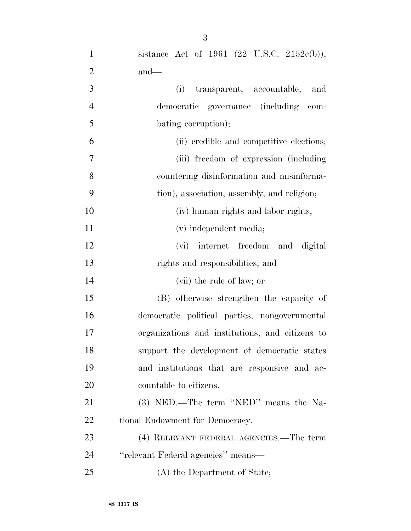| $\mathbf{1}$   | sistance Act of 1961 (22 U.S.C. 2152 $e(b)$ ),  |
|----------------|-------------------------------------------------|
| $\overline{2}$ | $and$ —                                         |
| 3              | transparent, accountable, and<br>(i)            |
| $\overline{4}$ | democratic governance (including<br>com-        |
| 5              | bating corruption);                             |
| 6              | (ii) credible and competitive elections;        |
| $\overline{7}$ | (iii) freedom of expression (including)         |
| 8              | countering disinformation and misinforma-       |
| 9              | tion), association, assembly, and religion;     |
| 10             | (iv) human rights and labor rights;             |
| 11             | (v) independent media;                          |
| 12             | (vi) internet freedom and digital               |
| 13             | rights and responsibilities; and                |
| 14             | (vii) the rule of law; or                       |
| 15             | (B) otherwise strengthen the capacity of        |
| 16             | democratic political parties, nongovernmental   |
| 17             | organizations and institutions, and citizens to |
| 18             | support the development of democratic states    |
| 19             | and institutions that are responsive and ac-    |
| <b>20</b>      | countable to citizens.                          |
| 21             | (3) NED.—The term "NED" means the Na-           |
| 22             | tional Endowment for Democracy.                 |
| 23             | (4) RELEVANT FEDERAL AGENCIES.—The term         |
| 24             | "relevant Federal agencies" means—              |
| 25             | (A) the Department of State;                    |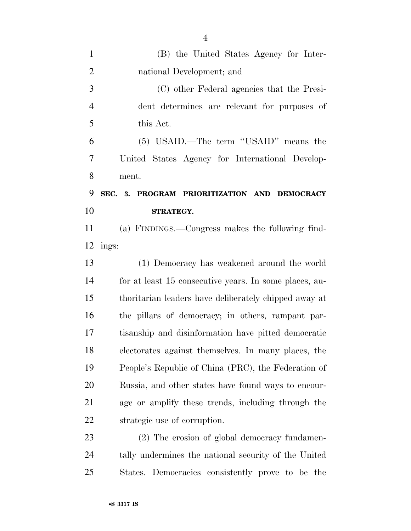| $\mathbf{1}$   | (B) the United States Agency for Inter-                |
|----------------|--------------------------------------------------------|
| $\overline{2}$ | national Development; and                              |
| 3              | (C) other Federal agencies that the Presi-             |
| $\overline{4}$ | dent determines are relevant for purposes of           |
| 5              | this Act.                                              |
| 6              | (5) USAID.—The term "USAID" means the                  |
| 7              | United States Agency for International Develop-        |
| 8              | ment.                                                  |
| 9              | SEC. 3. PROGRAM PRIORITIZATION AND DEMOCRACY           |
| 10             | STRATEGY.                                              |
| 11             | (a) FINDINGS.—Congress makes the following find-       |
| 12             | ings:                                                  |
| 13             | (1) Democracy has weakened around the world            |
| 14             | for at least 15 consecutive years. In some places, au- |
| 15             | thoritarian leaders have deliberately chipped away at  |
| 16             | the pillars of democracy; in others, rampant par-      |
| 17             | tisanship and disinformation have pitted democratic    |
| 18             | electorates against themselves. In many places, the    |
| 19             | People's Republic of China (PRC), the Federation of    |
| 20             | Russia, and other states have found ways to encour-    |
| 21             | age or amplify these trends, including through the     |
| 22             | strategic use of corruption.                           |
| 23             | (2) The erosion of global democracy fundamen-          |
| 24             | tally undermines the national security of the United   |
| 25             | States. Democracies consistently prove to be the       |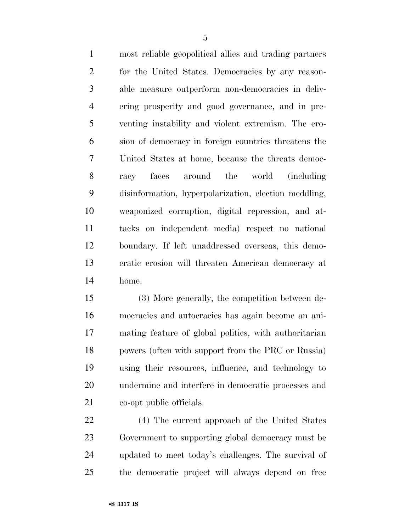most reliable geopolitical allies and trading partners for the United States. Democracies by any reason- able measure outperform non-democracies in deliv- ering prosperity and good governance, and in pre- venting instability and violent extremism. The ero- sion of democracy in foreign countries threatens the United States at home, because the threats democ- racy faces around the world (including disinformation, hyperpolarization, election meddling, weaponized corruption, digital repression, and at- tacks on independent media) respect no national boundary. If left unaddressed overseas, this demo- cratic erosion will threaten American democracy at home.

 (3) More generally, the competition between de- mocracies and autocracies has again become an ani- mating feature of global politics, with authoritarian powers (often with support from the PRC or Russia) using their resources, influence, and technology to undermine and interfere in democratic processes and co-opt public officials.

 (4) The current approach of the United States Government to supporting global democracy must be updated to meet today's challenges. The survival of the democratic project will always depend on free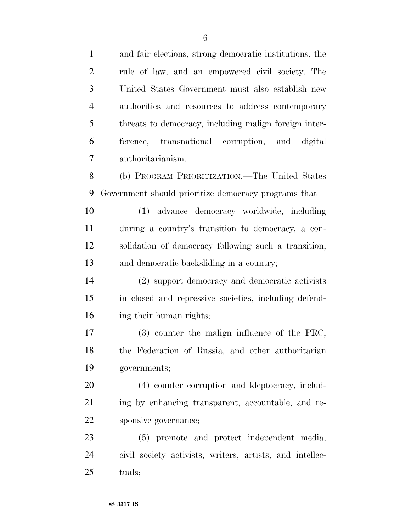and fair elections, strong democratic institutions, the rule of law, and an empowered civil society. The United States Government must also establish new authorities and resources to address contemporary threats to democracy, including malign foreign inter- ference, transnational corruption, and digital authoritarianism. (b) PROGRAM PRIORITIZATION.—The United States Government should prioritize democracy programs that— (1) advance democracy worldwide, including during a country's transition to democracy, a con- solidation of democracy following such a transition, and democratic backsliding in a country; (2) support democracy and democratic activists in closed and repressive societies, including defend- ing their human rights; (3) counter the malign influence of the PRC, the Federation of Russia, and other authoritarian governments; (4) counter corruption and kleptocracy, includ- ing by enhancing transparent, accountable, and re- sponsive governance; (5) promote and protect independent media, civil society activists, writers, artists, and intellec-

tuals;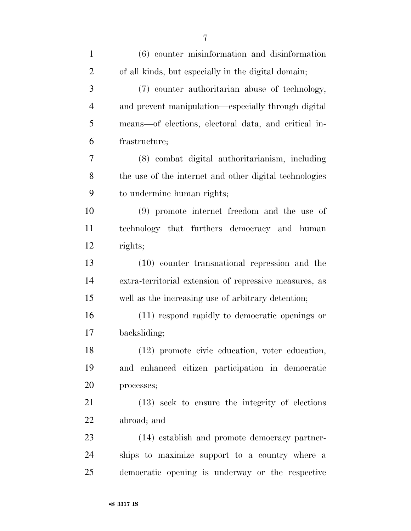| $\mathbf{1}$   | $(6)$ counter misinformation and disinformation        |
|----------------|--------------------------------------------------------|
| $\overline{2}$ | of all kinds, but especially in the digital domain;    |
| 3              | (7) counter authoritarian abuse of technology,         |
| $\overline{4}$ | and prevent manipulation—especially through digital    |
| 5              | means—of elections, electoral data, and critical in-   |
| 6              | frastructure;                                          |
| 7              | (8) combat digital authoritarianism, including         |
| 8              | the use of the internet and other digital technologies |
| 9              | to undermine human rights;                             |
| 10             | $(9)$ promote internet freedom and the use of          |
| 11             | technology that furthers democracy and human           |
| 12             | rights;                                                |
| 13             | (10) counter transnational repression and the          |
| 14             | extra-territorial extension of repressive measures, as |
| 15             | well as the increasing use of arbitrary detention;     |
| 16             | (11) respond rapidly to democratic openings or         |
| 17             | backsliding;                                           |
| 18             | $(12)$ promote civic education, voter education,       |
| 19             | and enhanced citizen participation in democratic       |
| 20             | processes;                                             |
| 21             | (13) seek to ensure the integrity of elections         |
| 22             | abroad; and                                            |
| 23             | (14) establish and promote democracy partner-          |
| 24             | ships to maximize support to a country where a         |
| 25             | democratic opening is underway or the respective       |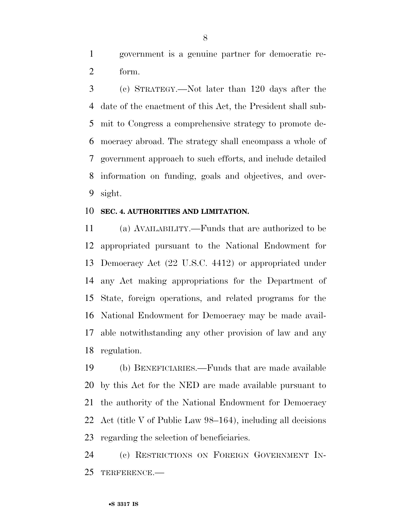government is a genuine partner for democratic re-form.

 (c) STRATEGY.—Not later than 120 days after the date of the enactment of this Act, the President shall sub- mit to Congress a comprehensive strategy to promote de- mocracy abroad. The strategy shall encompass a whole of government approach to such efforts, and include detailed information on funding, goals and objectives, and over-sight.

#### **SEC. 4. AUTHORITIES AND LIMITATION.**

 (a) AVAILABILITY.—Funds that are authorized to be appropriated pursuant to the National Endowment for Democracy Act (22 U.S.C. 4412) or appropriated under any Act making appropriations for the Department of State, foreign operations, and related programs for the National Endowment for Democracy may be made avail- able notwithstanding any other provision of law and any regulation.

 (b) BENEFICIARIES.—Funds that are made available by this Act for the NED are made available pursuant to the authority of the National Endowment for Democracy Act (title V of Public Law 98–164), including all decisions regarding the selection of beneficiaries.

 (c) RESTRICTIONS ON FOREIGN GOVERNMENT IN-TERFERENCE.—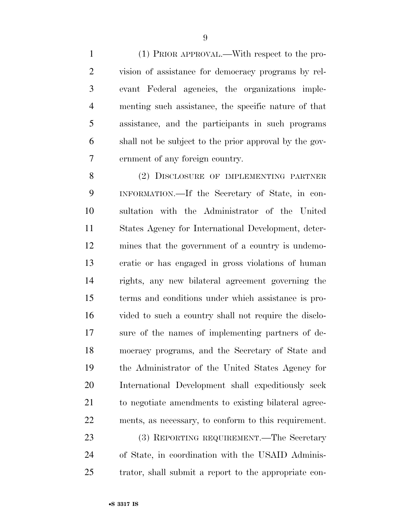(1) PRIOR APPROVAL.—With respect to the pro- vision of assistance for democracy programs by rel- evant Federal agencies, the organizations imple- menting such assistance, the specific nature of that assistance, and the participants in such programs shall not be subject to the prior approval by the gov-ernment of any foreign country.

 (2) DISCLOSURE OF IMPLEMENTING PARTNER INFORMATION.—If the Secretary of State, in con- sultation with the Administrator of the United States Agency for International Development, deter- mines that the government of a country is undemo- cratic or has engaged in gross violations of human rights, any new bilateral agreement governing the terms and conditions under which assistance is pro- vided to such a country shall not require the disclo- sure of the names of implementing partners of de- mocracy programs, and the Secretary of State and the Administrator of the United States Agency for International Development shall expeditiously seek to negotiate amendments to existing bilateral agree- ments, as necessary, to conform to this requirement. 23 (3) REPORTING REQUIREMENT.—The Secretary

 of State, in coordination with the USAID Adminis-trator, shall submit a report to the appropriate con-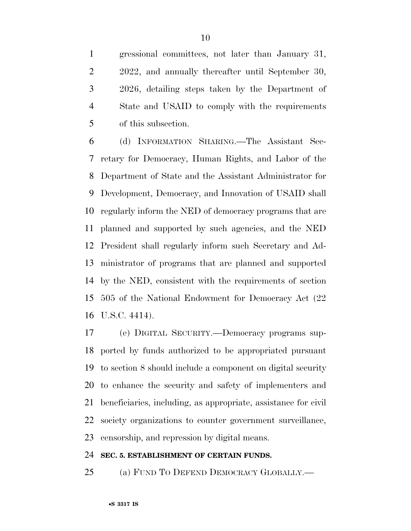gressional committees, not later than January 31, 2022, and annually thereafter until September 30, 2026, detailing steps taken by the Department of State and USAID to comply with the requirements of this subsection.

 (d) INFORMATION SHARING.—The Assistant Sec- retary for Democracy, Human Rights, and Labor of the Department of State and the Assistant Administrator for Development, Democracy, and Innovation of USAID shall regularly inform the NED of democracy programs that are planned and supported by such agencies, and the NED President shall regularly inform such Secretary and Ad- ministrator of programs that are planned and supported by the NED, consistent with the requirements of section 505 of the National Endowment for Democracy Act (22 U.S.C. 4414).

 (e) DIGITAL SECURITY.—Democracy programs sup- ported by funds authorized to be appropriated pursuant to section 8 should include a component on digital security to enhance the security and safety of implementers and beneficiaries, including, as appropriate, assistance for civil society organizations to counter government surveillance, censorship, and repression by digital means.

#### **SEC. 5. ESTABLISHMENT OF CERTAIN FUNDS.**

(a) FUND TO DEFEND DEMOCRACY GLOBALLY.—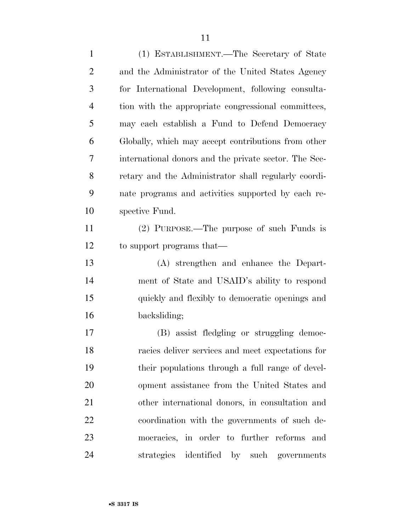(1) ESTABLISHMENT.—The Secretary of State and the Administrator of the United States Agency for International Development, following consulta- tion with the appropriate congressional committees, may each establish a Fund to Defend Democracy Globally, which may accept contributions from other international donors and the private sector. The Sec- retary and the Administrator shall regularly coordi- nate programs and activities supported by each re- spective Fund. (2) PURPOSE.—The purpose of such Funds is to support programs that— (A) strengthen and enhance the Depart- ment of State and USAID's ability to respond quickly and flexibly to democratic openings and backsliding; (B) assist fledgling or struggling democ- racies deliver services and meet expectations for their populations through a full range of devel- opment assistance from the United States and other international donors, in consultation and coordination with the governments of such de- mocracies, in order to further reforms and strategies identified by such governments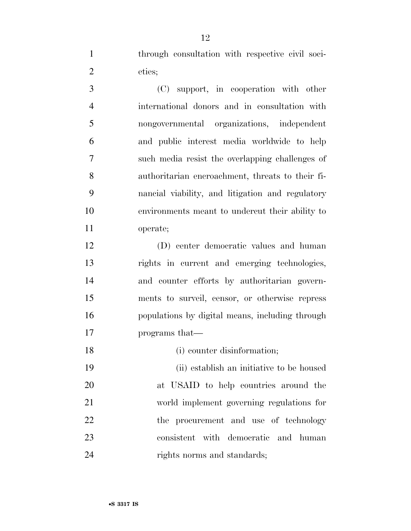through consultation with respective civil soci-eties;

 (C) support, in cooperation with other international donors and in consultation with nongovernmental organizations, independent and public interest media worldwide to help such media resist the overlapping challenges of authoritarian encroachment, threats to their fi- nancial viability, and litigation and regulatory environments meant to undercut their ability to operate;

 (D) center democratic values and human rights in current and emerging technologies, and counter efforts by authoritarian govern- ments to surveil, censor, or otherwise repress populations by digital means, including through programs that—

18 (i) counter disinformation;

 (ii) establish an initiative to be housed at USAID to help countries around the world implement governing regulations for 22 the procurement and use of technology consistent with democratic and human 24 rights norms and standards;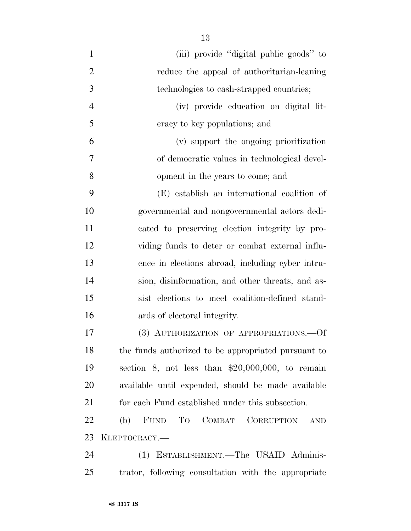| $\mathbf{1}$   | (iii) provide "digital public goods" to                        |
|----------------|----------------------------------------------------------------|
| $\overline{2}$ | reduce the appeal of authoritarian-leaning                     |
| 3              | technologies to cash-strapped countries;                       |
| $\overline{4}$ | (iv) provide education on digital lit-                         |
| 5              | eracy to key populations; and                                  |
| 6              | (v) support the ongoing prioritization                         |
| 7              | of democratic values in technological devel-                   |
| 8              | opment in the years to come; and                               |
| 9              | (E) establish an international coalition of                    |
| 10             | governmental and nongovernmental actors dedi-                  |
| 11             | cated to preserving election integrity by pro-                 |
| 12             | viding funds to deter or combat external influ-                |
| 13             | ence in elections abroad, including cyber intru-               |
| 14             | sion, disinformation, and other threats, and as-               |
| 15             | sist elections to meet coalition-defined stand-                |
| 16             | ards of electoral integrity.                                   |
| 17             | (3) AUTHORIZATION OF APPROPRIATIONS. - Of                      |
| 18             | the funds authorized to be appropriated pursuant to            |
| 19             | section 8, not less than $$20,000,000$ , to remain             |
| 20             | available until expended, should be made available             |
| 21             | for each Fund established under this subsection.               |
| 22             | FUND<br>To<br>COMBAT<br><b>CORRUPTION</b><br>(b)<br><b>AND</b> |
| 23             | KLEPTOCRACY.-                                                  |
| 24             | (1) ESTABLISHMENT.—The USAID Adminis-                          |
| 25             | trator, following consultation with the appropriate            |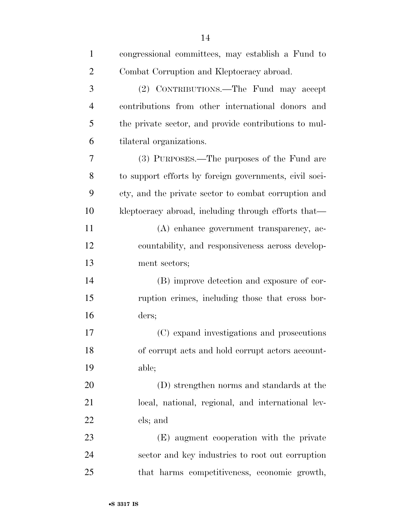| $\mathbf{1}$   | congressional committees, may establish a Fund to      |
|----------------|--------------------------------------------------------|
| $\overline{2}$ | Combat Corruption and Kleptocracy abroad.              |
| 3              | (2) CONTRIBUTIONS.—The Fund may accept                 |
| $\overline{4}$ | contributions from other international donors and      |
| 5              | the private sector, and provide contributions to mul-  |
| 6              | tilateral organizations.                               |
| 7              | (3) PURPOSES.—The purposes of the Fund are             |
| 8              | to support efforts by foreign governments, civil soci- |
| 9              | ety, and the private sector to combat corruption and   |
| 10             | kleptocracy abroad, including through efforts that—    |
| 11             | (A) enhance government transparency, ac-               |
| 12             | countability, and responsiveness across develop-       |
| 13             | ment sectors;                                          |
| 14             | (B) improve detection and exposure of cor-             |
| 15             | ruption crimes, including those that cross bor-        |
| 16             | ders;                                                  |
| 17             | (C) expand investigations and prosecutions             |
| 18             | of corrupt acts and hold corrupt actors account-       |
| 19             | able;                                                  |
| 20             | (D) strengthen norms and standards at the              |
| 21             | local, national, regional, and international lev-      |
| 22             | els; and                                               |
| 23             | (E) augment cooperation with the private               |
| 24             | sector and key industries to root out corruption       |
| 25             | that harms competitiveness, economic growth,           |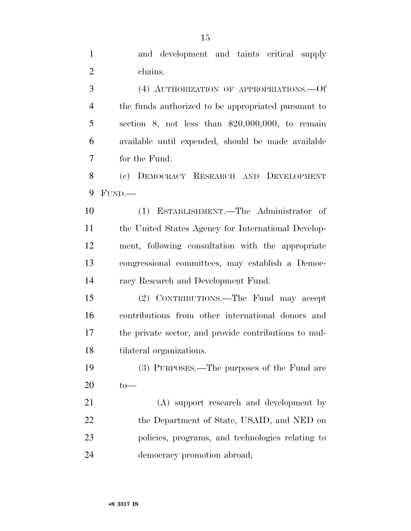| $\mathbf{1}$   | and development and taints critical supply            |
|----------------|-------------------------------------------------------|
| $\overline{2}$ | chains.                                               |
| 3              | (4) AUTHORIZATION OF APPROPRIATIONS. - Of             |
| $\overline{4}$ | the funds authorized to be appropriated pursuant to   |
| 5              | section 8, not less than $$20,000,000$ , to remain    |
| 6              | available until expended, should be made available    |
| 7              | for the Fund.                                         |
| 8              | (c) DEMOCRACY RESEARCH AND DEVELOPMENT                |
| 9              | FUND.                                                 |
| 10             | (1) ESTABLISHMENT.—The Administrator of               |
| 11             | the United States Agency for International Develop-   |
| 12             | ment, following consultation with the appropriate     |
| 13             | congressional committees, may establish a Democ-      |
| 14             | racy Research and Development Fund.                   |
| 15             | (2) CONTRIBUTIONS.—The Fund may accept                |
| 16             | contributions from other international donors and     |
| 17             | the private sector, and provide contributions to mul- |
| 18             | tilateral organizations.                              |
| 19             | (3) PURPOSES.—The purposes of the Fund are            |
| 20             | $to-$                                                 |
| 21             | (A) support research and development by               |
| 22             | the Department of State, USAID, and NED on            |
| 23             | policies, programs, and technologies relating to      |
| 24             | democracy promotion abroad;                           |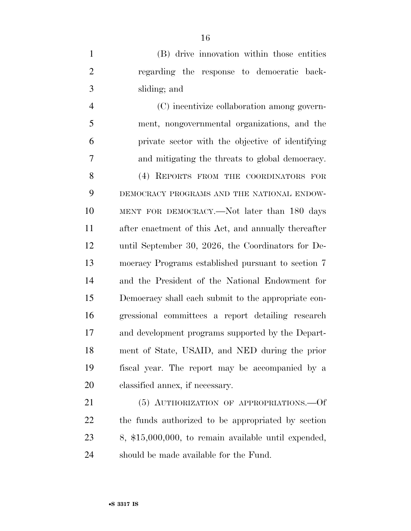(B) drive innovation within those entities regarding the response to democratic back-sliding; and

 (C) incentivize collaboration among govern- ment, nongovernmental organizations, and the private sector with the objective of identifying and mitigating the threats to global democracy.

8 (4) REPORTS FROM THE COORDINATORS FOR DEMOCRACY PROGRAMS AND THE NATIONAL ENDOW- MENT FOR DEMOCRACY.—Not later than 180 days after enactment of this Act, and annually thereafter until September 30, 2026, the Coordinators for De- mocracy Programs established pursuant to section 7 and the President of the National Endowment for Democracy shall each submit to the appropriate con- gressional committees a report detailing research and development programs supported by the Depart- ment of State, USAID, and NED during the prior fiscal year. The report may be accompanied by a classified annex, if necessary.

21 (5) AUTHORIZATION OF APPROPRIATIONS. - Of the funds authorized to be appropriated by section 8, \$15,000,000, to remain available until expended, should be made available for the Fund.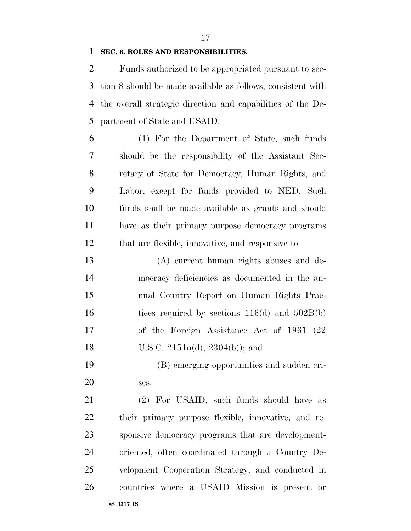#### **SEC. 6. ROLES AND RESPONSIBILITIES.**

 Funds authorized to be appropriated pursuant to sec- tion 8 should be made available as follows, consistent with the overall strategic direction and capabilities of the De-partment of State and USAID:

 (1) For the Department of State, such funds should be the responsibility of the Assistant Sec- retary of State for Democracy, Human Rights, and Labor, except for funds provided to NED. Such funds shall be made available as grants and should have as their primary purpose democracy programs that are flexible, innovative, and responsive to—

 (A) current human rights abuses and de- mocracy deficiencies as documented in the an- nual Country Report on Human Rights Prac-16 tices required by sections  $116(d)$  and  $502B(b)$  of the Foreign Assistance Act of 1961 (22 U.S.C. 2151n(d), 2304(b)); and

 (B) emerging opportunities and sudden cri-ses.

 (2) For USAID, such funds should have as their primary purpose flexible, innovative, and re- sponsive democracy programs that are development- oriented, often coordinated through a Country De- velopment Cooperation Strategy, and conducted in countries where a USAID Mission is present or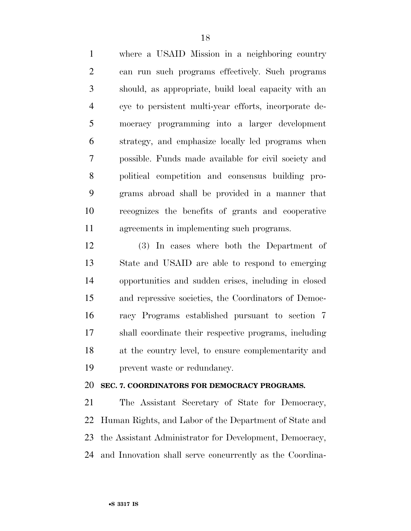where a USAID Mission in a neighboring country can run such programs effectively. Such programs should, as appropriate, build local capacity with an eye to persistent multi-year efforts, incorporate de- mocracy programming into a larger development strategy, and emphasize locally led programs when possible. Funds made available for civil society and political competition and consensus building pro- grams abroad shall be provided in a manner that recognizes the benefits of grants and cooperative agreements in implementing such programs.

 (3) In cases where both the Department of State and USAID are able to respond to emerging opportunities and sudden crises, including in closed and repressive societies, the Coordinators of Democ- racy Programs established pursuant to section 7 shall coordinate their respective programs, including at the country level, to ensure complementarity and prevent waste or redundancy.

### **SEC. 7. COORDINATORS FOR DEMOCRACY PROGRAMS.**

 The Assistant Secretary of State for Democracy, Human Rights, and Labor of the Department of State and the Assistant Administrator for Development, Democracy, and Innovation shall serve concurrently as the Coordina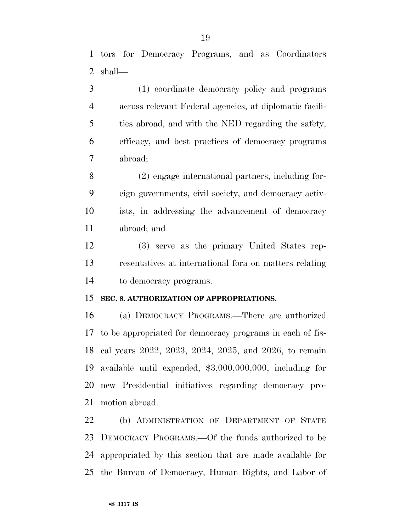(1) coordinate democracy policy and programs across relevant Federal agencies, at diplomatic facili- ties abroad, and with the NED regarding the safety, efficacy, and best practices of democracy programs abroad;

 (2) engage international partners, including for- eign governments, civil society, and democracy activ- ists, in addressing the advancement of democracy abroad; and

 (3) serve as the primary United States rep- resentatives at international fora on matters relating to democracy programs.

## **SEC. 8. AUTHORIZATION OF APPROPRIATIONS.**

 (a) DEMOCRACY PROGRAMS.—There are authorized to be appropriated for democracy programs in each of fis- cal years 2022, 2023, 2024, 2025, and 2026, to remain available until expended, \$3,000,000,000, including for new Presidential initiatives regarding democracy pro-motion abroad.

 (b) ADMINISTRATION OF DEPARTMENT OF STATE DEMOCRACY PROGRAMS.—Of the funds authorized to be appropriated by this section that are made available for the Bureau of Democracy, Human Rights, and Labor of